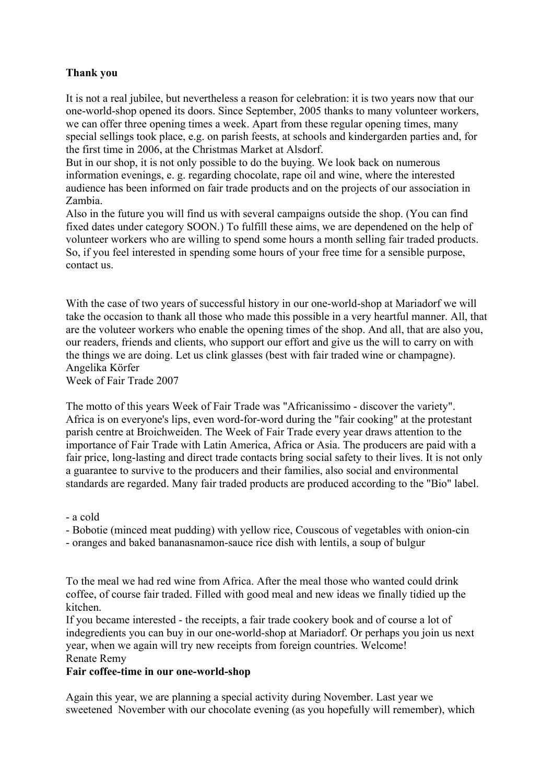# **Thank you**

It is not a real jubilee, but nevertheless a reason for celebration: it is two years now that our one-world-shop opened its doors. Since September, 2005 thanks to many volunteer workers, we can offer three opening times a week. Apart from these regular opening times, many special sellings took place, e.g. on parish feests, at schools and kindergarden parties and, for the first time in 2006, at the Christmas Market at Alsdorf.

But in our shop, it is not only possible to do the buying. We look back on numerous information evenings, e. g. regarding chocolate, rape oil and wine, where the interested audience has been informed on fair trade products and on the projects of our association in Zambia.

Also in the future you will find us with several campaigns outside the shop. (You can find fixed dates under category SOON.) To fulfill these aims, we are dependened on the help of volunteer workers who are willing to spend some hours a month selling fair traded products. So, if you feel interested in spending some hours of your free time for a sensible purpose, contact us.

With the case of two years of successful history in our one-world-shop at Mariadorf we will take the occasion to thank all those who made this possible in a very heartful manner. All, that are the voluteer workers who enable the opening times of the shop. And all, that are also you, our readers, friends and clients, who support our effort and give us the will to carry on with the things we are doing. Let us clink glasses (best with fair traded wine or champagne). Angelika Körfer

Week of Fair Trade 2007

The motto of this years Week of Fair Trade was "Africanissimo - discover the variety". Africa is on everyone's lips, even word-for-word during the "fair cooking" at the protestant parish centre at Broichweiden. The Week of Fair Trade every year draws attention to the importance of Fair Trade with Latin America, Africa or Asia. The producers are paid with a fair price, long-lasting and direct trade contacts bring social safety to their lives. It is not only a guarantee to survive to the producers and their families, also social and environmental standards are regarded. Many fair traded products are produced according to the "Bio" label.

- a cold

- Bobotie (minced meat pudding) with yellow rice, Couscous of vegetables with onion-cin

- oranges and baked bananasnamon-sauce rice dish with lentils, a soup of bulgur

To the meal we had red wine from Africa. After the meal those who wanted could drink coffee, of course fair traded. Filled with good meal and new ideas we finally tidied up the kitchen.

If you became interested - the receipts, a fair trade cookery book and of course a lot of indegredients you can buy in our one-world-shop at Mariadorf. Or perhaps you join us next year, when we again will try new receipts from foreign countries. Welcome! Renate Remy

# **Fair coffee-time in our one-world-shop**

Again this year, we are planning a special activity during November. Last year we sweetened November with our chocolate evening (as you hopefully will remember), which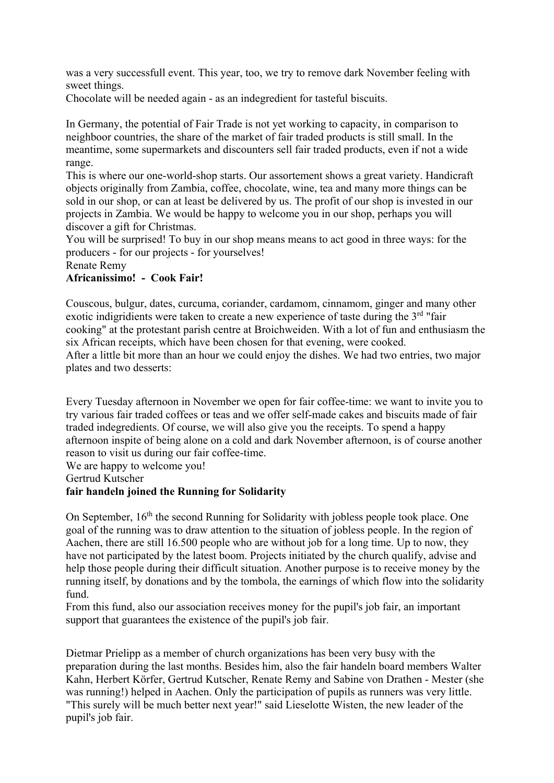was a very successfull event. This year, too, we try to remove dark November feeling with sweet things.

Chocolate will be needed again - as an indegredient for tasteful biscuits.

In Germany, the potential of Fair Trade is not yet working to capacity, in comparison to neighboor countries, the share of the market of fair traded products is still small. In the meantime, some supermarkets and discounters sell fair traded products, even if not a wide range.

This is where our one-world-shop starts. Our assortement shows a great variety. Handicraft objects originally from Zambia, coffee, chocolate, wine, tea and many more things can be sold in our shop, or can at least be delivered by us. The profit of our shop is invested in our projects in Zambia. We would be happy to welcome you in our shop, perhaps you will discover a gift for Christmas.

You will be surprised! To buy in our shop means means to act good in three ways: for the producers - for our projects - for yourselves!

Renate Remy

#### **Africanissimo! - Cook Fair!**

Couscous, bulgur, dates, curcuma, coriander, cardamom, cinnamom, ginger and many other exotic indigridients were taken to create a new experience of taste during the  $3<sup>rd</sup>$  "fair cooking" at the protestant parish centre at Broichweiden. With a lot of fun and enthusiasm the six African receipts, which have been chosen for that evening, were cooked. After a little bit more than an hour we could enjoy the dishes. We had two entries, two major plates and two desserts:

Every Tuesday afternoon in November we open for fair coffee-time: we want to invite you to try various fair traded coffees or teas and we offer self-made cakes and biscuits made of fair traded indegredients. Of course, we will also give you the receipts. To spend a happy afternoon inspite of being alone on a cold and dark November afternoon, is of course another reason to visit us during our fair coffee-time.

We are happy to welcome you!

Gertrud Kutscher

#### **fair handeln joined the Running for Solidarity**

On September, 16<sup>th</sup> the second Running for Solidarity with jobless people took place. One goal of the running was to draw attention to the situation of jobless people. In the region of Aachen, there are still 16.500 people who are without job for a long time. Up to now, they have not participated by the latest boom. Projects initiated by the church qualify, advise and help those people during their difficult situation. Another purpose is to receive money by the running itself, by donations and by the tombola, the earnings of which flow into the solidarity fund.

From this fund, also our association receives money for the pupil's job fair, an important support that guarantees the existence of the pupil's job fair.

Dietmar Prielipp as a member of church organizations has been very busy with the preparation during the last months. Besides him, also the fair handeln board members Walter Kahn, Herbert Körfer, Gertrud Kutscher, Renate Remy and Sabine von Drathen - Mester (she was running!) helped in Aachen. Only the participation of pupils as runners was very little. "This surely will be much better next year!" said Lieselotte Wisten, the new leader of the pupil's job fair.